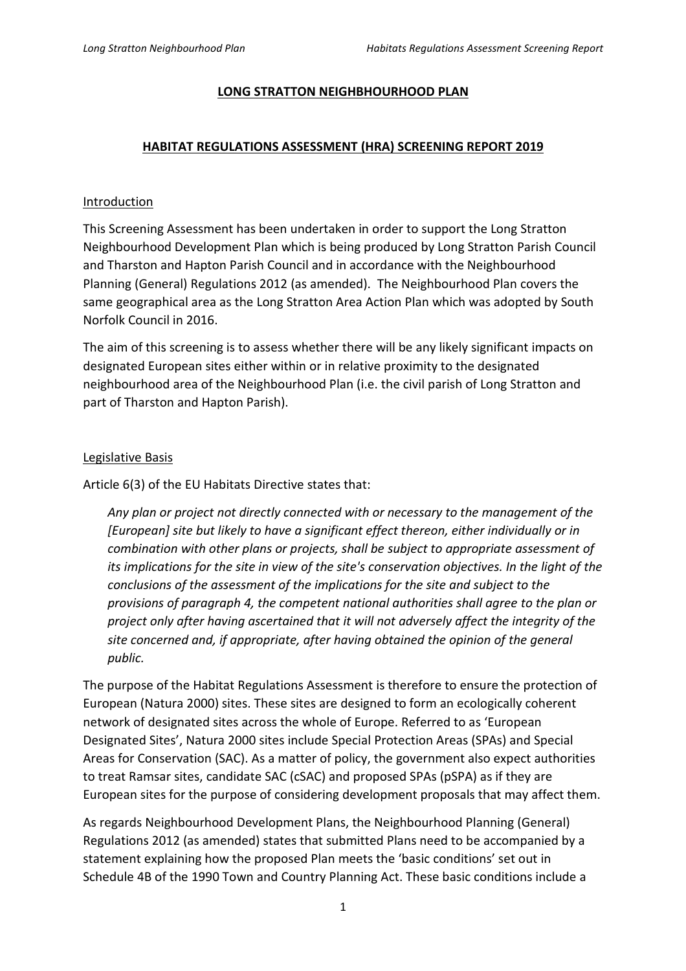#### **LONG STRATTON NEIGHBHOURHOOD PLAN**

## **HABITAT REGULATIONS ASSESSMENT (HRA) SCREENING REPORT 2019**

#### Introduction

This Screening Assessment has been undertaken in order to support the Long Stratton Neighbourhood Development Plan which is being produced by Long Stratton Parish Council and Tharston and Hapton Parish Council and in accordance with the Neighbourhood Planning (General) Regulations 2012 (as amended). The Neighbourhood Plan covers the same geographical area as the Long Stratton Area Action Plan which was adopted by South Norfolk Council in 2016.

The aim of this screening is to assess whether there will be any likely significant impacts on designated European sites either within or in relative proximity to the designated neighbourhood area of the Neighbourhood Plan (i.e. the civil parish of Long Stratton and part of Tharston and Hapton Parish).

#### Legislative Basis

Article 6(3) of the EU Habitats Directive states that:

*Any plan or project not directly connected with or necessary to the management of the [European] site but likely to have a significant effect thereon, either individually or in combination with other plans or projects, shall be subject to appropriate assessment of its implications for the site in view of the site's conservation objectives. In the light of the conclusions of the assessment of the implications for the site and subject to the provisions of paragraph 4, the competent national authorities shall agree to the plan or project only after having ascertained that it will not adversely affect the integrity of the site concerned and, if appropriate, after having obtained the opinion of the general public.* 

The purpose of the Habitat Regulations Assessment is therefore to ensure the protection of European (Natura 2000) sites. These sites are designed to form an ecologically coherent network of designated sites across the whole of Europe. Referred to as 'European Designated Sites', Natura 2000 sites include Special Protection Areas (SPAs) and Special Areas for Conservation (SAC). As a matter of policy, the government also expect authorities to treat Ramsar sites, candidate SAC (cSAC) and proposed SPAs (pSPA) as if they are European sites for the purpose of considering development proposals that may affect them.

As regards Neighbourhood Development Plans, the Neighbourhood Planning (General) Regulations 2012 (as amended) states that submitted Plans need to be accompanied by a statement explaining how the proposed Plan meets the 'basic conditions' set out in Schedule 4B of the 1990 Town and Country Planning Act. These basic conditions include a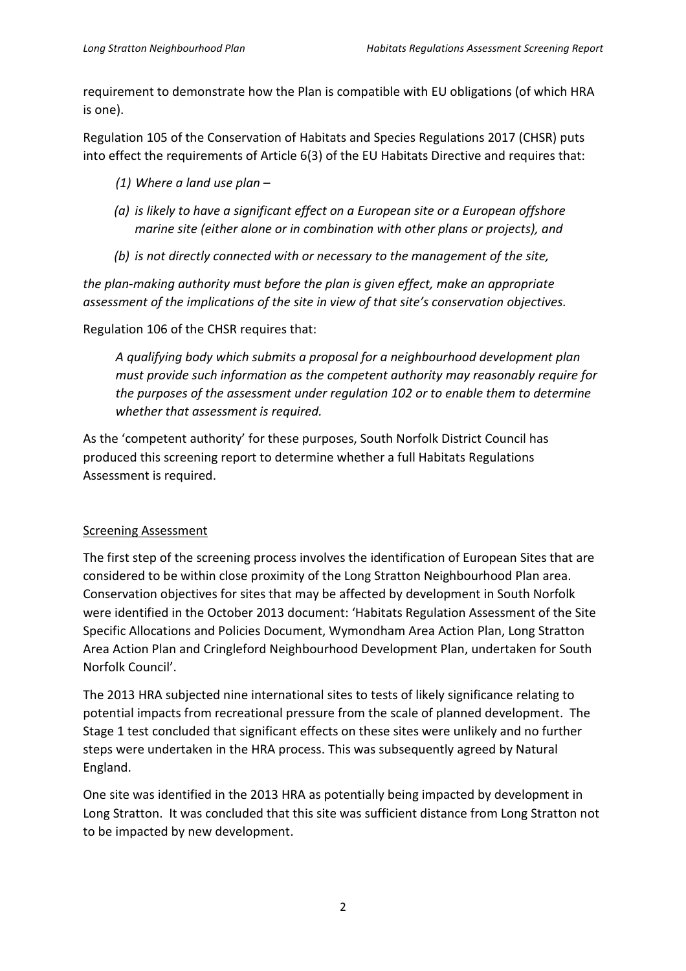requirement to demonstrate how the Plan is compatible with EU obligations (of which HRA is one).

Regulation 105 of the Conservation of Habitats and Species Regulations 2017 (CHSR) puts into effect the requirements of Article 6(3) of the EU Habitats Directive and requires that:

- *(1) Where a land use plan*
- *(a) is likely to have a significant effect on a European site or a European offshore marine site (either alone or in combination with other plans or projects), and*
- *(b) is not directly connected with or necessary to the management of the site,*

*the plan-making authority must before the plan is given effect, make an appropriate assessment of the implications of the site in view of that site's conservation objectives.* 

Regulation 106 of the CHSR requires that:

 *A qualifying body which submits a proposal for a neighbourhood development plan must provide such information as the competent authority may reasonably require for the purposes of the assessment under regulation 102 or to enable them to determine whether that assessment is required.* 

As the 'competent authority' for these purposes, South Norfolk District Council has produced this screening report to determine whether a full Habitats Regulations Assessment is required.

# Screening Assessment

The first step of the screening process involves the identification of European Sites that are considered to be within close proximity of the Long Stratton Neighbourhood Plan area. Conservation objectives for sites that may be affected by development in South Norfolk were identified in the October 2013 document: 'Habitats Regulation Assessment of the Site Specific Allocations and Policies Document, Wymondham Area Action Plan, Long Stratton Area Action Plan and Cringleford Neighbourhood Development Plan, undertaken for South Norfolk Council'.

The 2013 HRA subjected nine international sites to tests of likely significance relating to potential impacts from recreational pressure from the scale of planned development. The Stage 1 test concluded that significant effects on these sites were unlikely and no further steps were undertaken in the HRA process. This was subsequently agreed by Natural England.

One site was identified in the 2013 HRA as potentially being impacted by development in Long Stratton. It was concluded that this site was sufficient distance from Long Stratton not to be impacted by new development.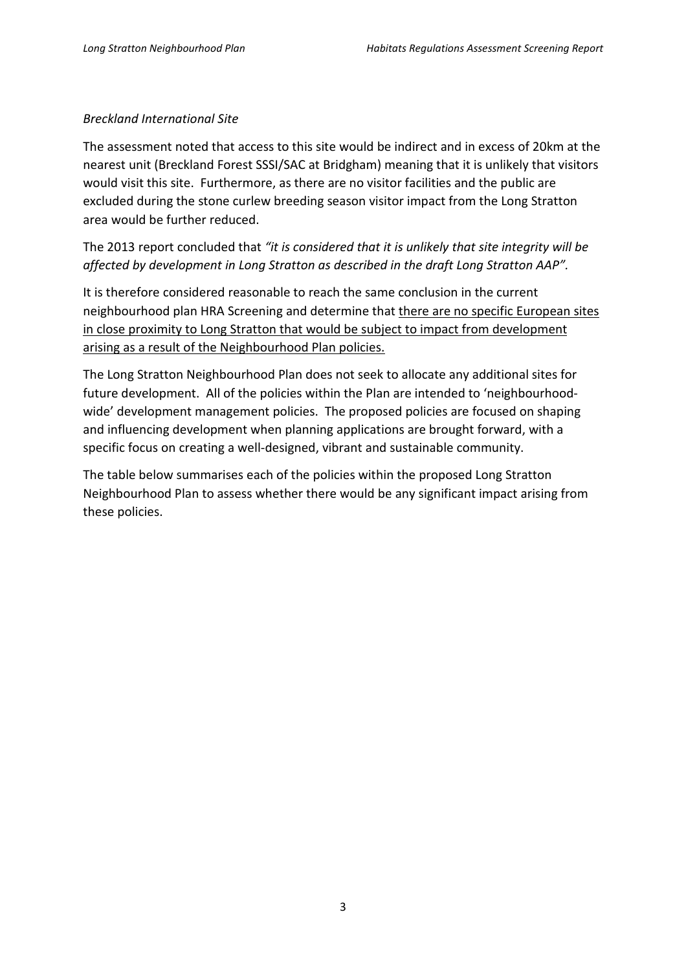## *Breckland International Site*

The assessment noted that access to this site would be indirect and in excess of 20km at the nearest unit (Breckland Forest SSSI/SAC at Bridgham) meaning that it is unlikely that visitors would visit this site. Furthermore, as there are no visitor facilities and the public are excluded during the stone curlew breeding season visitor impact from the Long Stratton area would be further reduced.

The 2013 report concluded that *"it is considered that it is unlikely that site integrity will be affected by development in Long Stratton as described in the draft Long Stratton AAP".*

It is therefore considered reasonable to reach the same conclusion in the current neighbourhood plan HRA Screening and determine that there are no specific European sites in close proximity to Long Stratton that would be subject to impact from development arising as a result of the Neighbourhood Plan policies.

The Long Stratton Neighbourhood Plan does not seek to allocate any additional sites for future development. All of the policies within the Plan are intended to 'neighbourhoodwide' development management policies. The proposed policies are focused on shaping and influencing development when planning applications are brought forward, with a specific focus on creating a well-designed, vibrant and sustainable community.

The table below summarises each of the policies within the proposed Long Stratton Neighbourhood Plan to assess whether there would be any significant impact arising from these policies.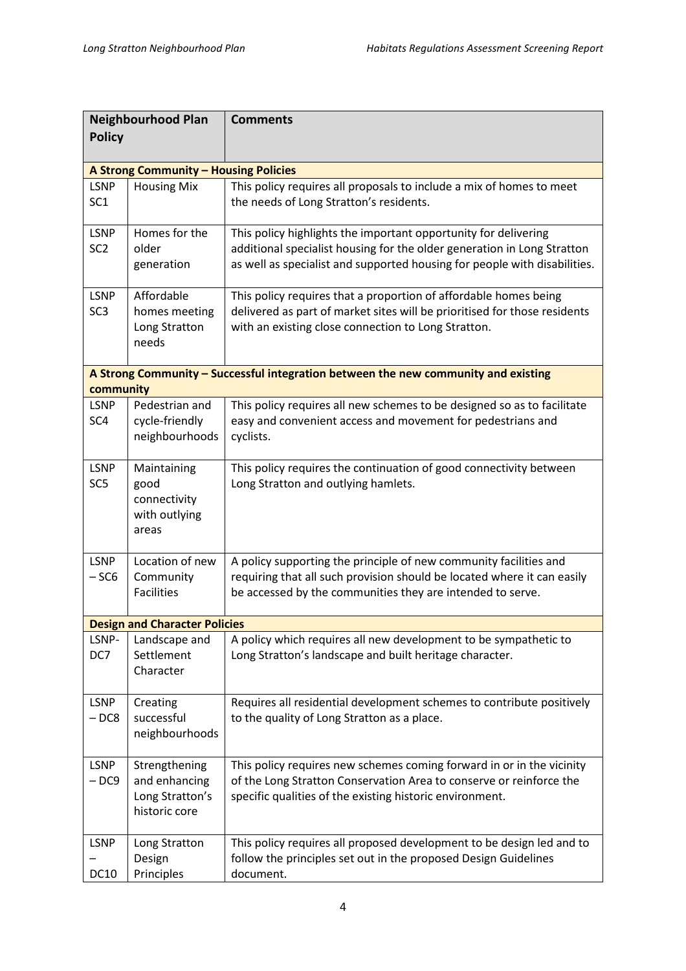| <b>Neighbourhood Plan</b><br><b>Policy</b>                                                      |                                                                    | <b>Comments</b>                                                                                                                                                                                                         |  |  |  |
|-------------------------------------------------------------------------------------------------|--------------------------------------------------------------------|-------------------------------------------------------------------------------------------------------------------------------------------------------------------------------------------------------------------------|--|--|--|
|                                                                                                 |                                                                    |                                                                                                                                                                                                                         |  |  |  |
| A Strong Community - Housing Policies                                                           |                                                                    |                                                                                                                                                                                                                         |  |  |  |
| <b>LSNP</b><br>SC <sub>1</sub>                                                                  | <b>Housing Mix</b>                                                 | This policy requires all proposals to include a mix of homes to meet<br>the needs of Long Stratton's residents.                                                                                                         |  |  |  |
| <b>LSNP</b><br>SC <sub>2</sub>                                                                  | Homes for the<br>older<br>generation                               | This policy highlights the important opportunity for delivering<br>additional specialist housing for the older generation in Long Stratton<br>as well as specialist and supported housing for people with disabilities. |  |  |  |
| <b>LSNP</b><br>SC <sub>3</sub>                                                                  | Affordable<br>homes meeting<br>Long Stratton<br>needs              | This policy requires that a proportion of affordable homes being<br>delivered as part of market sites will be prioritised for those residents<br>with an existing close connection to Long Stratton.                    |  |  |  |
| A Strong Community - Successful integration between the new community and existing<br>community |                                                                    |                                                                                                                                                                                                                         |  |  |  |
| <b>LSNP</b><br>SC <sub>4</sub>                                                                  | Pedestrian and<br>cycle-friendly<br>neighbourhoods                 | This policy requires all new schemes to be designed so as to facilitate<br>easy and convenient access and movement for pedestrians and<br>cyclists.                                                                     |  |  |  |
| <b>LSNP</b><br>SC <sub>5</sub>                                                                  | Maintaining<br>good<br>connectivity<br>with outlying<br>areas      | This policy requires the continuation of good connectivity between<br>Long Stratton and outlying hamlets.                                                                                                               |  |  |  |
| <b>LSNP</b><br>$-SC6$                                                                           | Location of new<br>Community<br><b>Facilities</b>                  | A policy supporting the principle of new community facilities and<br>requiring that all such provision should be located where it can easily<br>be accessed by the communities they are intended to serve.              |  |  |  |
| <b>Design and Character Policies</b>                                                            |                                                                    |                                                                                                                                                                                                                         |  |  |  |
| LSNP-<br>DC7                                                                                    | Landscape and<br>Settlement<br>Character                           | A policy which requires all new development to be sympathetic to<br>Long Stratton's landscape and built heritage character.                                                                                             |  |  |  |
| <b>LSNP</b><br>$-DC8$                                                                           | Creating<br>successful<br>neighbourhoods                           | Requires all residential development schemes to contribute positively<br>to the quality of Long Stratton as a place.                                                                                                    |  |  |  |
| <b>LSNP</b><br>$-DC9$                                                                           | Strengthening<br>and enhancing<br>Long Stratton's<br>historic core | This policy requires new schemes coming forward in or in the vicinity<br>of the Long Stratton Conservation Area to conserve or reinforce the<br>specific qualities of the existing historic environment.                |  |  |  |
| <b>LSNP</b><br><b>DC10</b>                                                                      | Long Stratton<br>Design<br>Principles                              | This policy requires all proposed development to be design led and to<br>follow the principles set out in the proposed Design Guidelines<br>document.                                                                   |  |  |  |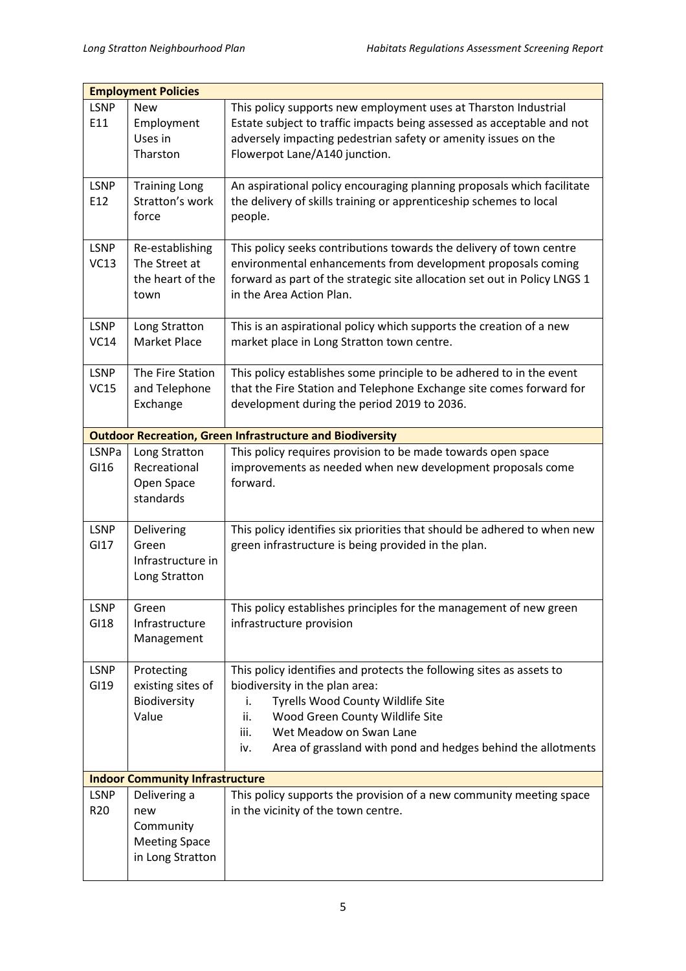| <b>Employment Policies</b>             |                                                                              |                                                                                                                                                                                                                                                                                                       |  |  |
|----------------------------------------|------------------------------------------------------------------------------|-------------------------------------------------------------------------------------------------------------------------------------------------------------------------------------------------------------------------------------------------------------------------------------------------------|--|--|
| <b>LSNP</b><br>E11                     | <b>New</b><br>Employment<br>Uses in<br>Tharston                              | This policy supports new employment uses at Tharston Industrial<br>Estate subject to traffic impacts being assessed as acceptable and not<br>adversely impacting pedestrian safety or amenity issues on the<br>Flowerpot Lane/A140 junction.                                                          |  |  |
| <b>LSNP</b><br>E12                     | <b>Training Long</b><br>Stratton's work<br>force                             | An aspirational policy encouraging planning proposals which facilitate<br>the delivery of skills training or apprenticeship schemes to local<br>people.                                                                                                                                               |  |  |
| <b>LSNP</b><br>VC13                    | Re-establishing<br>The Street at<br>the heart of the<br>town                 | This policy seeks contributions towards the delivery of town centre<br>environmental enhancements from development proposals coming<br>forward as part of the strategic site allocation set out in Policy LNGS 1<br>in the Area Action Plan.                                                          |  |  |
| <b>LSNP</b><br>VC14                    | Long Stratton<br><b>Market Place</b>                                         | This is an aspirational policy which supports the creation of a new<br>market place in Long Stratton town centre.                                                                                                                                                                                     |  |  |
| <b>LSNP</b><br>VC15                    | The Fire Station<br>and Telephone<br>Exchange                                | This policy establishes some principle to be adhered to in the event<br>that the Fire Station and Telephone Exchange site comes forward for<br>development during the period 2019 to 2036.                                                                                                            |  |  |
|                                        |                                                                              | <b>Outdoor Recreation, Green Infrastructure and Biodiversity</b>                                                                                                                                                                                                                                      |  |  |
| LSNPa<br>GI16                          | Long Stratton<br>Recreational<br>Open Space<br>standards                     | This policy requires provision to be made towards open space<br>improvements as needed when new development proposals come<br>forward.                                                                                                                                                                |  |  |
| <b>LSNP</b><br>GI17                    | Delivering<br>Green<br>Infrastructure in<br>Long Stratton                    | This policy identifies six priorities that should be adhered to when new<br>green infrastructure is being provided in the plan.                                                                                                                                                                       |  |  |
| <b>LSNP</b><br>GI18                    | Green<br>Infrastructure<br>Management                                        | This policy establishes principles for the management of new green<br>infrastructure provision                                                                                                                                                                                                        |  |  |
| <b>LSNP</b><br>GI19                    | Protecting<br>existing sites of<br>Biodiversity<br>Value                     | This policy identifies and protects the following sites as assets to<br>biodiversity in the plan area:<br>Tyrells Wood County Wildlife Site<br>i.<br>ii.<br>Wood Green County Wildlife Site<br>Wet Meadow on Swan Lane<br>iii.<br>Area of grassland with pond and hedges behind the allotments<br>iv. |  |  |
| <b>Indoor Community Infrastructure</b> |                                                                              |                                                                                                                                                                                                                                                                                                       |  |  |
| <b>LSNP</b><br>R <sub>20</sub>         | Delivering a<br>new<br>Community<br><b>Meeting Space</b><br>in Long Stratton | This policy supports the provision of a new community meeting space<br>in the vicinity of the town centre.                                                                                                                                                                                            |  |  |